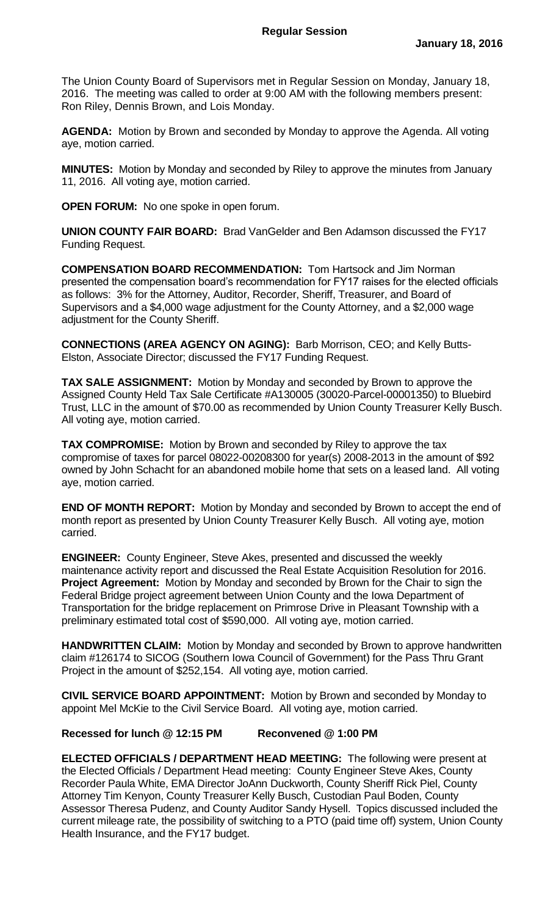The Union County Board of Supervisors met in Regular Session on Monday, January 18, 2016. The meeting was called to order at 9:00 AM with the following members present: Ron Riley, Dennis Brown, and Lois Monday.

**AGENDA:** Motion by Brown and seconded by Monday to approve the Agenda. All voting aye, motion carried.

**MINUTES:** Motion by Monday and seconded by Riley to approve the minutes from January 11, 2016. All voting aye, motion carried.

**OPEN FORUM:** No one spoke in open forum.

**UNION COUNTY FAIR BOARD:** Brad VanGelder and Ben Adamson discussed the FY17 Funding Request.

**COMPENSATION BOARD RECOMMENDATION:** Tom Hartsock and Jim Norman presented the compensation board's recommendation for FY17 raises for the elected officials as follows: 3% for the Attorney, Auditor, Recorder, Sheriff, Treasurer, and Board of Supervisors and a \$4,000 wage adjustment for the County Attorney, and a \$2,000 wage adjustment for the County Sheriff.

**CONNECTIONS (AREA AGENCY ON AGING):** Barb Morrison, CEO; and Kelly Butts-Elston, Associate Director; discussed the FY17 Funding Request.

**TAX SALE ASSIGNMENT:** Motion by Monday and seconded by Brown to approve the Assigned County Held Tax Sale Certificate #A130005 (30020-Parcel-00001350) to Bluebird Trust, LLC in the amount of \$70.00 as recommended by Union County Treasurer Kelly Busch. All voting aye, motion carried.

**TAX COMPROMISE:** Motion by Brown and seconded by Riley to approve the tax compromise of taxes for parcel 08022-00208300 for year(s) 2008-2013 in the amount of \$92 owned by John Schacht for an abandoned mobile home that sets on a leased land. All voting aye, motion carried.

**END OF MONTH REPORT:** Motion by Monday and seconded by Brown to accept the end of month report as presented by Union County Treasurer Kelly Busch. All voting aye, motion carried.

**ENGINEER:** County Engineer, Steve Akes, presented and discussed the weekly maintenance activity report and discussed the Real Estate Acquisition Resolution for 2016. **Project Agreement:** Motion by Monday and seconded by Brown for the Chair to sign the Federal Bridge project agreement between Union County and the Iowa Department of Transportation for the bridge replacement on Primrose Drive in Pleasant Township with a preliminary estimated total cost of \$590,000. All voting aye, motion carried.

**HANDWRITTEN CLAIM:** Motion by Monday and seconded by Brown to approve handwritten claim #126174 to SICOG (Southern Iowa Council of Government) for the Pass Thru Grant Project in the amount of \$252,154. All voting aye, motion carried.

**CIVIL SERVICE BOARD APPOINTMENT:** Motion by Brown and seconded by Monday to appoint Mel McKie to the Civil Service Board. All voting aye, motion carried.

## **Recessed for lunch @ 12:15 PM Reconvened @ 1:00 PM**

**ELECTED OFFICIALS / DEPARTMENT HEAD MEETING:** The following were present at the Elected Officials / Department Head meeting: County Engineer Steve Akes, County Recorder Paula White, EMA Director JoAnn Duckworth, County Sheriff Rick Piel, County Attorney Tim Kenyon, County Treasurer Kelly Busch, Custodian Paul Boden, County Assessor Theresa Pudenz, and County Auditor Sandy Hysell. Topics discussed included the current mileage rate, the possibility of switching to a PTO (paid time off) system, Union County Health Insurance, and the FY17 budget.